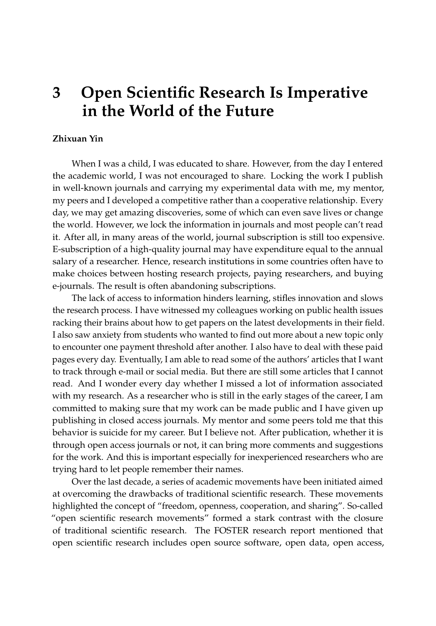## **3 Open Scientific Research Is Imperative in the World of the Future**

## **Zhixuan Yin**

When I was a child, I was educated to share. However, from the day I entered the academic world, I was not encouraged to share. Locking the work I publish in well-known journals and carrying my experimental data with me, my mentor, my peers and I developed a competitive rather than a cooperative relationship. Every day, we may get amazing discoveries, some of which can even save lives or change the world. However, we lock the information in journals and most people can't read it. After all, in many areas of the world, journal subscription is still too expensive. E-subscription of a high-quality journal may have expenditure equal to the annual salary of a researcher. Hence, research institutions in some countries often have to make choices between hosting research projects, paying researchers, and buying e-journals. The result is often abandoning subscriptions.

The lack of access to information hinders learning, stifles innovation and slows the research process. I have witnessed my colleagues working on public health issues racking their brains about how to get papers on the latest developments in their field. I also saw anxiety from students who wanted to find out more about a new topic only to encounter one payment threshold after another. I also have to deal with these paid pages every day. Eventually, I am able to read some of the authors' articles that I want to track through e-mail or social media. But there are still some articles that I cannot read. And I wonder every day whether I missed a lot of information associated with my research. As a researcher who is still in the early stages of the career, I am committed to making sure that my work can be made public and I have given up publishing in closed access journals. My mentor and some peers told me that this behavior is suicide for my career. But I believe not. After publication, whether it is through open access journals or not, it can bring more comments and suggestions for the work. And this is important especially for inexperienced researchers who are trying hard to let people remember their names.

Over the last decade, a series of academic movements have been initiated aimed at overcoming the drawbacks of traditional scientific research. These movements highlighted the concept of "freedom, openness, cooperation, and sharing". So-called "open scientific research movements" formed a stark contrast with the closure of traditional scientific research. The FOSTER research report mentioned that open scientific research includes open source software, open data, open access,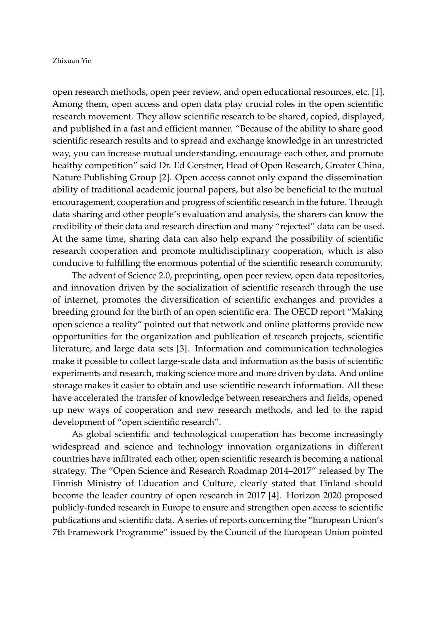## Zhixuan Yin

open research methods, open peer review, and open educational resources, etc. [\[1\]](#page-2-0). Among them, open access and open data play crucial roles in the open scientific research movement. They allow scientific research to be shared, copied, displayed, and published in a fast and efficient manner. "Because of the ability to share good scientific research results and to spread and exchange knowledge in an unrestricted way, you can increase mutual understanding, encourage each other, and promote healthy competition" said Dr. Ed Gerstner, Head of Open Research, Greater China, Nature Publishing Group [\[2\]](#page-2-1). Open access cannot only expand the dissemination ability of traditional academic journal papers, but also be beneficial to the mutual encouragement, cooperation and progress of scientific research in the future. Through data sharing and other people's evaluation and analysis, the sharers can know the credibility of their data and research direction and many "rejected" data can be used. At the same time, sharing data can also help expand the possibility of scientific research cooperation and promote multidisciplinary cooperation, which is also conducive to fulfilling the enormous potential of the scientific research community.

The advent of Science 2.0, preprinting, open peer review, open data repositories, and innovation driven by the socialization of scientific research through the use of internet, promotes the diversification of scientific exchanges and provides a breeding ground for the birth of an open scientific era. The OECD report "Making open science a reality" pointed out that network and online platforms provide new opportunities for the organization and publication of research projects, scientific literature, and large data sets [\[3\]](#page-2-2). Information and communication technologies make it possible to collect large-scale data and information as the basis of scientific experiments and research, making science more and more driven by data. And online storage makes it easier to obtain and use scientific research information. All these have accelerated the transfer of knowledge between researchers and fields, opened up new ways of cooperation and new research methods, and led to the rapid development of "open scientific research".

As global scientific and technological cooperation has become increasingly widespread and science and technology innovation organizations in different countries have infiltrated each other, open scientific research is becoming a national strategy. The "Open Science and Research Roadmap 2014–2017" released by The Finnish Ministry of Education and Culture, clearly stated that Finland should become the leader country of open research in 2017 [\[4\]](#page-2-3). Horizon 2020 proposed publicly-funded research in Europe to ensure and strengthen open access to scientific publications and scientific data. A series of reports concerning the "European Union's 7th Framework Programme" issued by the Council of the European Union pointed